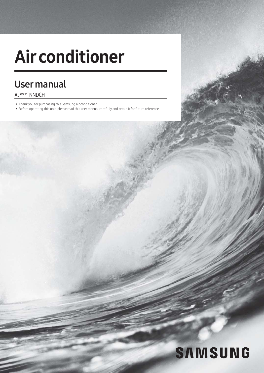# Air conditioner

## User manual

#### AJ\*\*\*TNNDCH

- Thank you for purchasing this Samsung air conditioner.
- Before operating this unit, please read this user manual carefully and retain it for future reference.

# **SAMSUNG**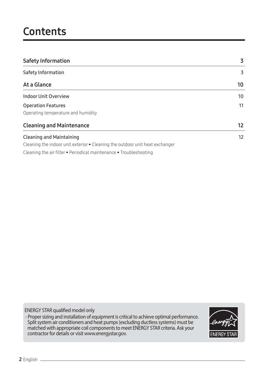## **Contents**

| <b>Safety Information</b>                                                            | 3                 |
|--------------------------------------------------------------------------------------|-------------------|
| Safety Information                                                                   | 3                 |
| At a Glance                                                                          | 10                |
| <b>Indoor Unit Overview</b>                                                          | 10                |
| <b>Operation Features</b>                                                            | 11                |
| Operating temperature and humidity                                                   |                   |
| <b>Cleaning and Maintenance</b>                                                      | $12 \overline{ }$ |
| <b>Cleaning and Maintaining</b>                                                      | 12                |
| Cleaning the indoor unit exterior $\bullet$ Cleaning the outdoor unit heat exchanger |                   |
| Cleaning the air filter • Periodical maintenance • Troubleshooting                   |                   |

ENERGY STAR qualified model only

- Proper sizing and installation of equipment is critical to achieve optimal performance. Split system air conditioners and heat pumps (excluding ductless systems) must be matched with appropriate coil components to meet ENERGY STAR criteria. Ask your contractor for details or visit www.energystar.gov.

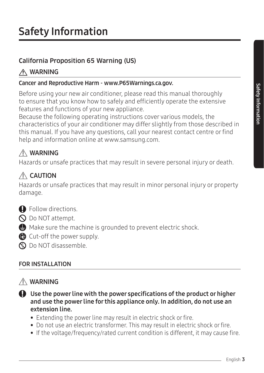## California Proposition 65 Warning (US)

## A WARNING

#### Cancer and Reproductive Harm - www.P65Warnings.ca.gov.

Before using your new air conditioner, please read this manual thoroughly to ensure that you know how to safely and efficiently operate the extensive features and functions of your new appliance.

Because the following operating instructions cover various models, the characteristics of your air conditioner may differ slightly from those described in this manual. If you have any questions, call your nearest contact centre or find help and information online at www.samsung.com.

## $\land$  WARNING

Hazards or unsafe practices that may result in severe personal injury or death.

## $\triangle$  CAUTION

Hazards or unsafe practices that may result in minor personal injury or property damage.

- **O** Follow directions.
- $\bigcirc$  Do NOT attempt.
- $\bigoplus$  Make sure the machine is grounded to prevent electric shock.
- Cut-off the power supply.
- **PO** Do NOT disassemble.

## FOR INSTALLATION

## A WARNING

- Use the power line with the power specifications of the product or higher and use the power line for this appliance only. In addition, do not use an extension line.
	- Extending the power line may result in electric shock or fire.
	- Do not use an electric transformer. This may result in electric shock or fire.
	- If the voltage/frequency/rated current condition is different, it may cause fire.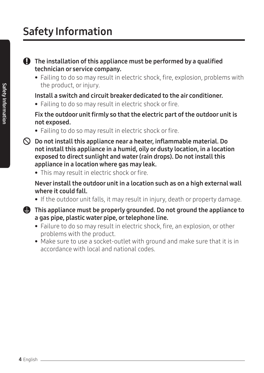### The installation of this appliance must be performed by a qualified technician or service company.

• Failing to do so may result in electric shock, fire, explosion, problems with the product, or injury.

## Install a switch and circuit breaker dedicated to the air conditioner.

• Failing to do so may result in electric shock or fire.

### Fix the outdoor unit firmly so that the electric part of the outdoor unit is not exposed.

- Failing to do so may result in electric shock or fire.
- $\bigcirc$  Do not install this appliance near a heater, inflammable material. Do not install this appliance in a humid, oily or dusty location, in a location exposed to direct sunlight and water (rain drops). Do not install this appliance in a location where gas may leak.
	- This may result in electric shock or fire.

#### Never install the outdoor unit in a location such as on a high external wall where it could fall.

- If the outdoor unit falls, it may result in injury, death or property damage.
- **Example 3** This appliance must be properly grounded. Do not ground the appliance to a gas pipe, plastic water pipe, or telephone line.
	- Failure to do so may result in electric shock, fire, an explosion, or other problems with the product.
	- Make sure to use a socket-outlet with ground and make sure that it is in accordance with local and national codes.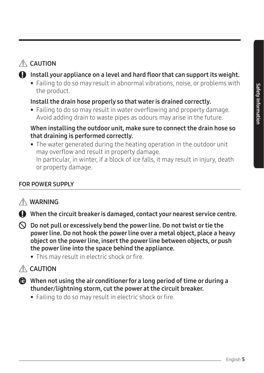## $\triangle$  CAUTION

## $\bf Q$  Install your appliance on a level and hard floor that can support its weight.

• Failing to do so may result in abnormal vibrations, noise, or problems with the product.

## Install the drain hose properly so that water is drained correctly.

• Failing to do so may result in water overflowing and property damage. Avoid adding drain to waste pipes as odours may arise in the future.

### When installing the outdoor unit, make sure to connect the drain hose so that draining is performed correctly.

• The water generated during the heating operation in the outdoor unit may overflow and result in property damage. In particular, in winter, if a block of ice falls, it may result in injury, death or property damage.

## FOR POWER SUPPLY

## A WARNING

When the circuit breaker is damaged, contact your nearest service centre.

- $\bigcirc$  Do not pull or excessively bend the power line. Do not twist or tie the power line. Do not hook the power line over a metal object, place a heavy object on the power line, insert the power line between objects, or push the power line into the space behind the appliance.
	- This may result in electric shock or fire.

## $\triangle$  CAUTION

- When not using the air conditioner for a long period of time or during a thunder/lightning storm, cut the power at the circuit breaker.
	- Failing to do so may result in electric shock or fire.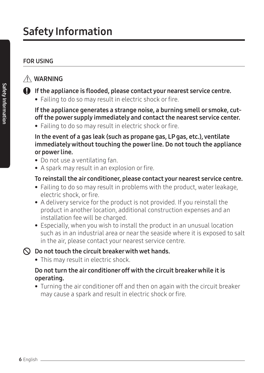## FOR USING

## A WARNING

- If the appliance is flooded, please contact your nearest service centre.
	- Failing to do so may result in electric shock or fire.

 If the appliance generates a strange noise, a burning smell or smoke, cutoff the power supply immediately and contact the nearest service center.

• Failing to do so may result in electric shock or fire.

 In the event of a gas leak (such as propane gas, LP gas, etc.), ventilate immediately without touching the power line. Do not touch the appliance or power line.

- Do not use a ventilating fan.
- A spark may result in an explosion or fire.

## To reinstall the air conditioner, please contact your nearest service centre.

- Failing to do so may result in problems with the product, water leakage, electric shock, or fire.
- A delivery service for the product is not provided. If you reinstall the product in another location, additional construction expenses and an installation fee will be charged.
- Especially, when you wish to install the product in an unusual location such as in an industrial area or near the seaside where it is exposed to salt in the air, please contact your nearest service centre.

### $\bigcirc$  Do not touch the circuit breaker with wet hands.

• This may result in electric shock.

## Do not turn the air conditioner off with the circuit breaker while it is operating.

• Turning the air conditioner off and then on again with the circuit breaker may cause a spark and result in electric shock or fire.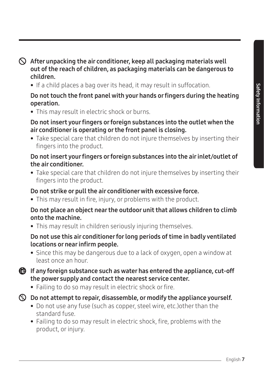## $\bigcirc$  After unpacking the air conditioner, keep all packaging materials well out of the reach of children, as packaging materials can be dangerous to children.

• If a child places a bag over its head, it may result in suffocation.

## Do not touch the front panel with your hands or fingers during the heating operation.

• This may result in electric shock or burns.

## Do not insert your fingers or foreign substances into the outlet when the air conditioner is operating or the front panel is closing.

• Take special care that children do not injure themselves by inserting their fingers into the product.

## Do not insert your fingers or foreign substances into the air inlet/outlet of the air conditioner.

• Take special care that children do not injure themselves by inserting their fingers into the product.

## Do not strike or pull the air conditioner with excessive force.

• This may result in fire, injury, or problems with the product.

### Do not place an object near the outdoor unit that allows children to climb onto the machine.

• This may result in children seriously injuring themselves.

### Do not use this air conditioner for long periods of time in badly ventilated locations or near infirm people.

• Since this may be dangerous due to a lack of oxygen, open a window at least once an hour.

## If any foreign substance such as water has entered the appliance, cut-off the power supply and contact the nearest service center.

• Failing to do so may result in electric shock or fire.

## $\mathbb D$  Do not attempt to repair, disassemble, or modify the appliance yourself.

- Do not use any fuse (such as copper, steel wire, etc.)other than the standard fuse.
- Failing to do so may result in electric shock, fire, problems with the product, or injury.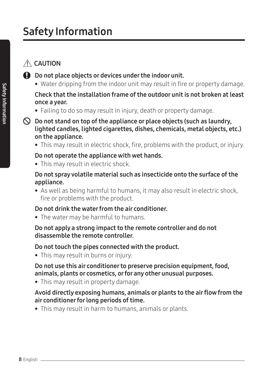## $\triangle$  CAUTION

- Do not place objects or devices under the indoor unit.
	- Water dripping from the indoor unit may result in fire or property damage.

## Check that the installation frame of the outdoor unit is not broken at least once a year.

- Failing to do so may result in injury, death or property damage.
- $\bigcirc$  Do not stand on top of the appliance or place objects (such as laundry, lighted candles, lighted cigarettes, dishes, chemicals, metal objects, etc.) on the appliance.
	- This may result in electric shock, fire, problems with the product, or injury.

### Do not operate the appliance with wet hands.

• This may result in electric shock.

#### Do not spray volatile material such as insecticide onto the surface of the appliance.

• As well as being harmful to humans, it may also result in electric shock, fire or problems with the product.

## Do not drink the water from the air conditioner.

• The water may be harmful to humans.

#### Do not apply a strong impact to the remote controller and do not disassemble the remote controller.

### Do not touch the pipes connected with the product.

• This may result in burns or injury.

#### Do not use this air conditioner to preserve precision equipment, food, animals, plants or cosmetics, or for any other unusual purposes.

• This may result in property damage.

### Avoid directly exposing humans, animals or plants to the air flow from the air conditioner for long periods of time.

• This may result in harm to humans, animals or plants.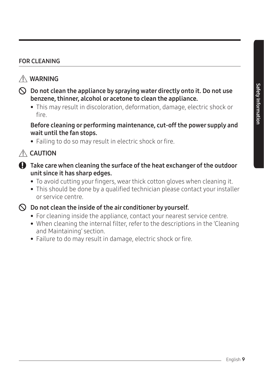## FOR CLEANING

## WARNING

- $\bigcirc$  Do not clean the appliance by spraying water directly onto it. Do not use benzene, thinner, alcohol or acetone to clean the appliance.
	- This may result in discoloration, deformation, damage, electric shock or fire.

#### Before cleaning or performing maintenance, cut-off the power supply and wait until the fan stops.

• Failing to do so may result in electric shock or fire.

## $\triangle$  CAUTION

- Take care when cleaning the surface of the heat exchanger of the outdoor unit since it has sharp edges.
	- To avoid cutting your fingers, wear thick cotton gloves when cleaning it.
	- This should be done by a qualified technician please contact your installer or service centre.
- 

## $\bigcirc$  Do not clean the inside of the air conditioner by yourself.

- For cleaning inside the appliance, contact your nearest service centre.
- When cleaning the internal filter, refer to the descriptions in the 'Cleaning and Maintaining' section.
- Failure to do may result in damage, electric shock or fire.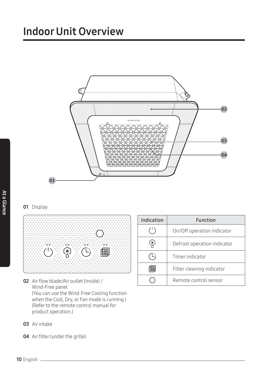## Indoor Unit Overview



#### **01** Display



- 02 Air flow blade/Air outlet (inside) / Wind-Free panel (You can use the Wind-Free Cooling function when the Cool, Dry, or Fan mode is running.) (Refer to the remote control manual for product operation.)
- 03 Air intake
- 04 Air filter (under the grille)

| Indication | Function                    |
|------------|-----------------------------|
|            | On/Off operation indicator  |
| .*.        | Defrost operation indicator |
| ∟;         | Timer indicator             |
|            | Filter cleaning indicator   |
|            | Remote control sensor       |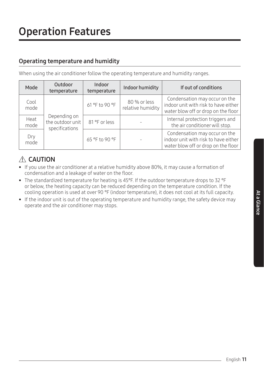### Operating temperature and humidity

When using the air conditioner follow the operating temperature and humidity ranges.

| Mode         | Outdoor<br>temperature                             | Indoor<br>temperature | Indoor humidity                   | If out of conditions                                                                                         |
|--------------|----------------------------------------------------|-----------------------|-----------------------------------|--------------------------------------------------------------------------------------------------------------|
| Cool<br>mode |                                                    | 61 °F to 90 °F        | 80 % or less<br>relative humidity | Condensation may occur on the<br>indoor unit with risk to have either<br>water blow off or drop on the floor |
| Heat<br>mode | Depending on<br>the outdoor unit<br>specifications | 81 °F or less         |                                   | Internal protection triggers and<br>the air conditioner will stop.                                           |
| Dry<br>mode  |                                                    | 65 °F to 90 °F        |                                   | Condensation may occur on the<br>indoor unit with risk to have either<br>water blow off or drop on the floor |

## $A$  CAUTION

- If you use the air conditioner at a relative humidity above 80%, it may cause a formation of condensation and a leakage of water on the floor.
- The standardized temperature for heating is 45°F. If the outdoor temperature drops to 32 °F or below, the heating capacity can be reduced depending on the temperature condition. If the cooling operation is used at over 90 °F (indoor temperature), it does not cool at its full capacity.
- If the indoor unit is out of the operating temperature and humidity range, the safety device may operate and the air conditioner may stops.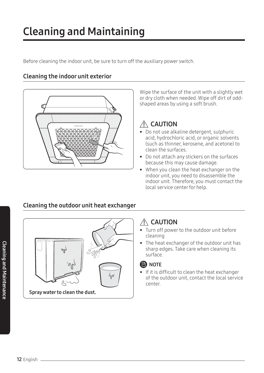## Cleaning and Maintaining

Before cleaning the indoor unit, be sure to turn off the auxiliary power switch.

#### Cleaning the indoor unit exterior



Wipe the surface of the unit with a slightly wet or dry cloth when needed. Wipe off dirt of oddshaped areas by using a soft brush.

## $\triangle$  CAUTION

- Do not use alkaline detergent, sulphuric acid, hydrochloric acid, or organic solvents (such as thinner, kerosene, and acetone) to clean the surfaces.
- Do not attach any stickers on the surfaces because this may cause damage.
- When you clean the heat exchanger on the indoor unit, you need to disassemble the indoor unit. Therefore, you must contact the local service center for help.



## Cleaning the outdoor unit heat exchanger

## $\triangle$  CAUTION

- Turn off power to the outdoor unit before cleaning
- The heat exchanger of the outdoor unit has sharp edges. Take care when cleaning its surface.

### **ED** NOTE

• If it is difficult to clean the heat exchanger of the outdoor unit, contact the local service center.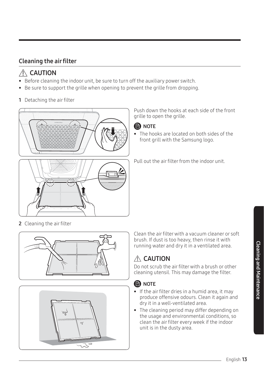## Cleaning the air filter

## $\triangle$  CAUTION

- Before cleaning the indoor unit, be sure to turn off the auxiliary power switch.
- Be sure to support the grille when opening to prevent the grille from dropping.
- 1 Detaching the air filter



Push down the hooks at each side of the front grille to open the grille.



• The hooks are located on both sides of the front grill with the Samsung logo.

Pull out the air filter from the indoor unit.

2 Cleaning the air filter





Clean the air filter with a vacuum cleaner or soft brush. If dust is too heavy, then rinse it with running water and dry it in a ventilated area.

## A CAUTION

Do not scrub the air filter with a brush or other cleaning utensil. This may damage the filter.

## **B** NOTE

- If the air filter dries in a humid area, it may produce offensive odours. Clean it again and dry it in a well-ventilated area.
- The cleaning period may differ depending on the usage and environmental conditions, so clean the air filter every week if the indoor unit is in the dusty area.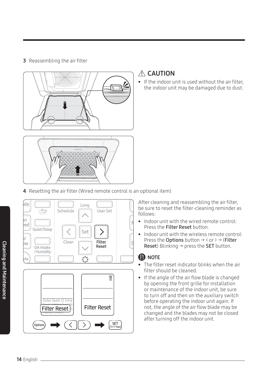#### 3 Reassembling the air filter



## A CAUTION

• If the indoor unit is used without the air filter, the indoor unit may be damaged due to dust.

4 Resetting the air filter (Wired remote control is an optional item)



After cleaning and reassembling the air filter, be sure to reset the filter-cleaning reminder as follows:

- Indoor unit with the wired remote control: Press the Filter Reset button.
- Indoor unit with the wireless remote control: Press the Options button  $\rightarrow$  < or >  $\rightarrow$  (Filter Reset) Blinking  $\rightarrow$  press the SET button.

## **B** NOTE

- The filter reset indicator blinks when the air filter should be cleaned.
- If the angle of the air flow blade is changed by opening the front grille for installation or maintenance of the indoor unit, be sure to turn off and then on the auxiliary switch before operating the indoor unit again. If not, the angle of the air flow blade may be changed and the blades may not be closed after turning off the indoor unit.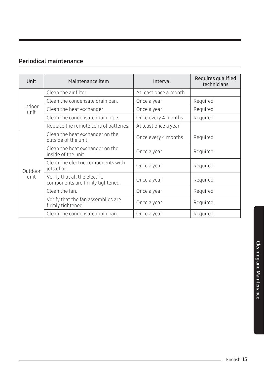## Periodical maintenance

| Unit            | Maintenance item                                                 | Interval              | Requires qualified<br>technicians |
|-----------------|------------------------------------------------------------------|-----------------------|-----------------------------------|
| Indoor<br>unit  | Clean the air filter.                                            | At least once a month |                                   |
|                 | Clean the condensate drain pan.                                  | Once a year           | Required                          |
|                 | Clean the heat exchanger                                         | Once a year           | Required                          |
|                 | Clean the condensate drain pipe.                                 | Once every 4 months   | Required                          |
|                 | Replace the remote control batteries.                            | At least once a year  |                                   |
| Outdoor<br>unit | Clean the heat exchanger on the<br>outside of the unit.          | Once every 4 months   | Required                          |
|                 | Clean the heat exchanger on the<br>inside of the unit.           | Once a year           | Required                          |
|                 | Clean the electric components with<br>jets of air.               | Once a year           | Required                          |
|                 | Verify that all the electric<br>components are firmly tightened. | Once a year           | Required                          |
|                 | Clean the fan.                                                   | Once a year           | Required                          |
|                 | Verify that the fan assemblies are<br>firmly tightened.          | Once a year           | Required                          |
|                 | Clean the condensate drain pan.                                  | Once a year           | Required                          |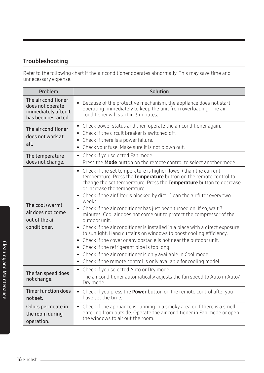### Troubleshooting

Refer to the following chart if the air conditioner operates abnormally. This may save time and unnecessary expense.

| Problem                                                                | Solution                                                                                                                                                                                                                                                                                                                                                                                                                                                                                                                                                                                                                                                                                                                                                                                                                                                                                                                         |  |  |
|------------------------------------------------------------------------|----------------------------------------------------------------------------------------------------------------------------------------------------------------------------------------------------------------------------------------------------------------------------------------------------------------------------------------------------------------------------------------------------------------------------------------------------------------------------------------------------------------------------------------------------------------------------------------------------------------------------------------------------------------------------------------------------------------------------------------------------------------------------------------------------------------------------------------------------------------------------------------------------------------------------------|--|--|
| The air conditioner                                                    | Because of the protective mechanism, the appliance does not start                                                                                                                                                                                                                                                                                                                                                                                                                                                                                                                                                                                                                                                                                                                                                                                                                                                                |  |  |
| does not operate                                                       | $\bullet$                                                                                                                                                                                                                                                                                                                                                                                                                                                                                                                                                                                                                                                                                                                                                                                                                                                                                                                        |  |  |
| immediately after it                                                   | operating immediately to keep the unit from overloading. The air                                                                                                                                                                                                                                                                                                                                                                                                                                                                                                                                                                                                                                                                                                                                                                                                                                                                 |  |  |
| has been restarted.                                                    | conditioner will start in 3 minutes.                                                                                                                                                                                                                                                                                                                                                                                                                                                                                                                                                                                                                                                                                                                                                                                                                                                                                             |  |  |
| The air conditioner<br>does not work at<br>all.                        | • Check power status and then operate the air conditioner again.<br>• Check if the circuit breaker is switched off.<br>• Check if there is a power failure.<br>Check your fuse. Make sure it is not blown out.                                                                                                                                                                                                                                                                                                                                                                                                                                                                                                                                                                                                                                                                                                                   |  |  |
| The temperature                                                        | • Check if you selected Fan mode.                                                                                                                                                                                                                                                                                                                                                                                                                                                                                                                                                                                                                                                                                                                                                                                                                                                                                                |  |  |
| does not change.                                                       | Press the <b>Mode</b> button on the remote control to select another mode.                                                                                                                                                                                                                                                                                                                                                                                                                                                                                                                                                                                                                                                                                                                                                                                                                                                       |  |  |
| The cool (warm)<br>air does not come<br>out of the air<br>conditioner. | • Check if the set temperature is higher (lower) than the current<br>temperature. Press the Temperature button on the remote control to<br>change the set temperature. Press the Temperature button to decrease<br>or increase the temperature.<br>• Check if the air filter is blocked by dirt. Clean the air filter every two<br>weeks.<br>• Check if the air conditioner has just been turned on. If so, wait 3<br>minutes. Cool air does not come out to protect the compressor of the<br>outdoor unit.<br>• Check if the air conditioner is installed in a place with a direct exposure<br>to sunlight. Hang curtains on windows to boost cooling efficiency.<br>• Check if the cover or any obstacle is not near the outdoor unit.<br>• Check if the refrigerant pipe is too long.<br>• Check if the air conditioner is only available in Cool mode.<br>• Check if the remote control is only available for cooling model. |  |  |
| The fan speed does<br>not change.                                      | Check if you selected Auto or Dry mode.<br>$\bullet$<br>The air conditioner automatically adjusts the fan speed to Auto in Auto/<br>Dry mode.                                                                                                                                                                                                                                                                                                                                                                                                                                                                                                                                                                                                                                                                                                                                                                                    |  |  |
| <b>Timer function does</b>                                             | • Check if you press the <b>Power</b> button on the remote control after you                                                                                                                                                                                                                                                                                                                                                                                                                                                                                                                                                                                                                                                                                                                                                                                                                                                     |  |  |
| not set.                                                               | have set the time.                                                                                                                                                                                                                                                                                                                                                                                                                                                                                                                                                                                                                                                                                                                                                                                                                                                                                                               |  |  |
| Odors permeate in                                                      | • Check if the appliance is running in a smoky area or if there is a smell                                                                                                                                                                                                                                                                                                                                                                                                                                                                                                                                                                                                                                                                                                                                                                                                                                                       |  |  |
| the room during                                                        | entering from outside. Operate the air conditioner in Fan mode or open                                                                                                                                                                                                                                                                                                                                                                                                                                                                                                                                                                                                                                                                                                                                                                                                                                                           |  |  |
| operation.                                                             | the windows to air out the room.                                                                                                                                                                                                                                                                                                                                                                                                                                                                                                                                                                                                                                                                                                                                                                                                                                                                                                 |  |  |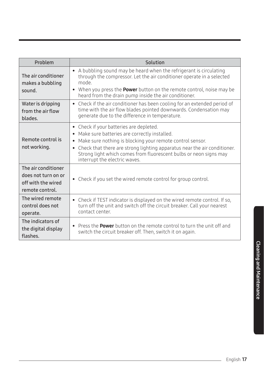| Problem                                                                             | Solution                                                                                                                                                                                                                                                                                                                                                                      |
|-------------------------------------------------------------------------------------|-------------------------------------------------------------------------------------------------------------------------------------------------------------------------------------------------------------------------------------------------------------------------------------------------------------------------------------------------------------------------------|
| The air conditioner<br>makes a bubbling<br>sound.                                   | • A bubbling sound may be heard when the refrigerant is circulating<br>through the compressor. Let the air conditioner operate in a selected<br>mode<br>When you press the <b>Power</b> button on the remote control, noise may be<br>heard from the drain pump inside the air conditioner.                                                                                   |
| Water is dripping<br>from the air flow<br>blades.                                   | • Check if the air conditioner has been cooling for an extended period of<br>time with the air flow blades pointed downwards. Condensation may<br>generate due to the difference in temperature.                                                                                                                                                                              |
| Remote control is<br>not working.                                                   | • Check if your batteries are depleted.<br>Make sure batteries are correctly installed.<br>$\bullet$<br>Make sure nothing is blocking your remote control sensor.<br>$\bullet$<br>Check that there are strong lighting apparatus near the air conditioner.<br>$\bullet$<br>Strong light which comes from fluorescent bulbs or neon signs may<br>interrupt the electric waves. |
| The air conditioner<br>does not turn on or<br>off with the wired<br>remote control. | • Check if you set the wired remote control for group control.                                                                                                                                                                                                                                                                                                                |
| The wired remote<br>control does not<br>operate.                                    | • Check if TEST indicator is displayed on the wired remote control. If so,<br>turn off the unit and switch off the circuit breaker. Call your nearest<br>contact center.                                                                                                                                                                                                      |
| The indicators of<br>the digital display<br>flashes.                                | Press the <b>Power</b> button on the remote control to turn the unit off and<br>$\bullet$<br>switch the circuit breaker off. Then, switch it on again.                                                                                                                                                                                                                        |

 $\overline{a}$